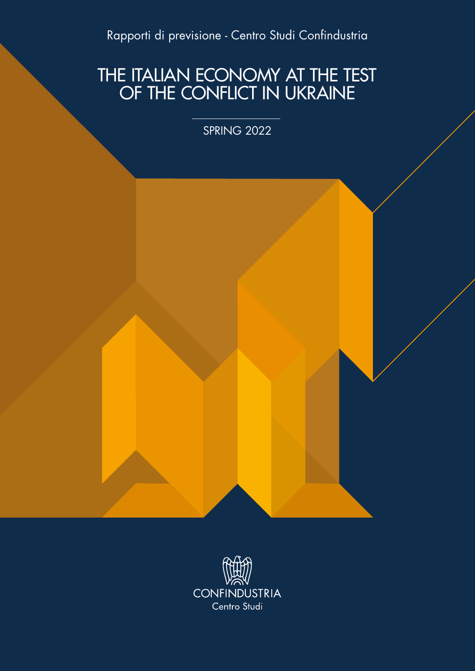Rapporti di previsione - Centro Studi Confindustria

### THE ITALIAN ECONOMY AT THE TEST OF THE CONFLICT IN UKRAINE

SPRING 2022

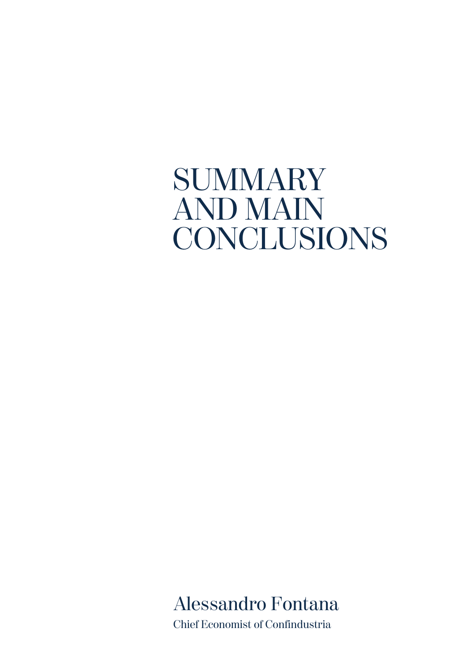# **SUMMARY** AND MAIN CONCLUSIONS

Alessandro Fontana Chief Economist of Confindustria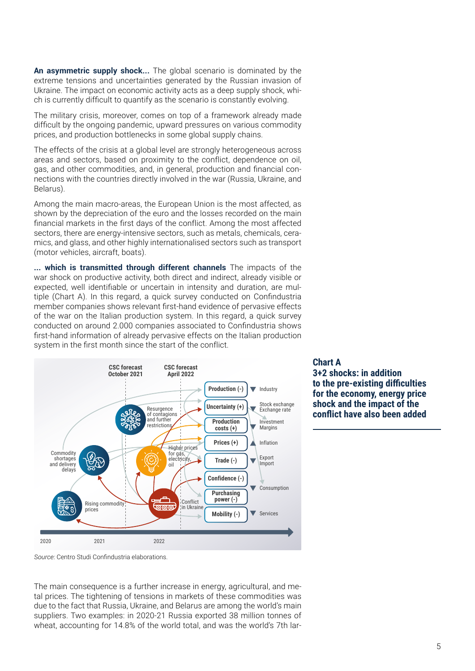**An asymmetric supply shock...** The global scenario is dominated by the extreme tensions and uncertainties generated by the Russian invasion of Ukraine. The impact on economic activity acts as a deep supply shock, which is currently difficult to quantify as the scenario is constantly evolving.

The military crisis, moreover, comes on top of a framework already made difficult by the ongoing pandemic, upward pressures on various commodity prices, and production bottlenecks in some global supply chains.

The effects of the crisis at a global level are strongly heterogeneous across areas and sectors, based on proximity to the conflict, dependence on oil, gas, and other commodities, and, in general, production and financial connections with the countries directly involved in the war (Russia, Ukraine, and Belarus).

Among the main macro-areas, the European Union is the most affected, as shown by the depreciation of the euro and the losses recorded on the main financial markets in the first days of the conflict. Among the most affected sectors, there are energy-intensive sectors, such as metals, chemicals, ceramics, and glass, and other highly internationalised sectors such as transport (motor vehicles, aircraft, boats).

**... which is transmitted through different channels** The impacts of the war shock on productive activity, both direct and indirect, already visible or expected, well identifiable or uncertain in intensity and duration, are multiple (Chart A). In this regard, a quick survey conducted on Confindustria member companies shows relevant first-hand evidence of pervasive effects of the war on the Italian production system. In this regard, a quick survey conducted on around 2.000 companies associated to Confindustria shows first-hand information of already pervasive effects on the Italian production system in the first month since the start of the conflict.



## **Chart A**

**3+2 shocks: in addition to the pre-existing difficulties for the economy, energy price shock and the impact of the conflict have also been added**

*Source:* Centro Studi Confindustria elaborations.

The main consequence is a further increase in energy, agricultural, and metal prices. The tightening of tensions in markets of these commodities was due to the fact that Russia, Ukraine, and Belarus are among the world's main suppliers. Two examples: in 2020-21 Russia exported 38 million tonnes of wheat, accounting for 14.8% of the world total, and was the world's 7th lar-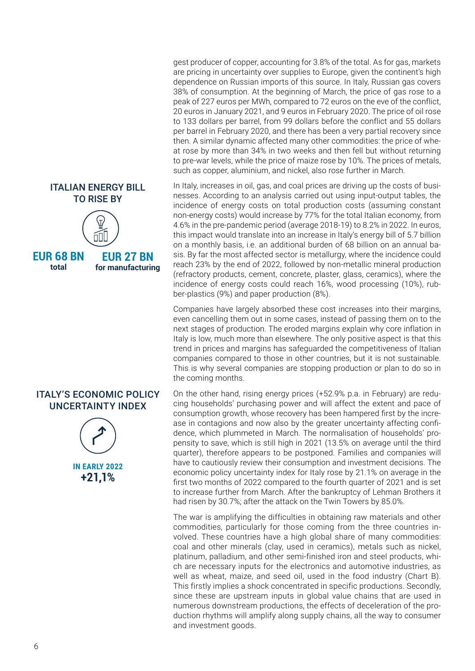#### ITALIAN ENERGY BILL TO RISE BY



**EUR 68 BN total**

**EUR 27 BN for manufacturing**

#### ITALY'S ECONOMIC POLICY UNCERTAINTY INDEX



**+21,1% IN EARLY 2022**

gest producer of copper, accounting for 3.8% of the total. As for gas, markets are pricing in uncertainty over supplies to Europe, given the continent's high dependence on Russian imports of this source. In Italy, Russian gas covers 38% of consumption. At the beginning of March, the price of gas rose to a peak of 227 euros per MWh, compared to 72 euros on the eve of the conflict, 20 euros in January 2021, and 9 euros in February 2020. The price of oil rose to 133 dollars per barrel, from 99 dollars before the conflict and 55 dollars per barrel in February 2020, and there has been a very partial recovery since then. A similar dynamic affected many other commodities: the price of wheat rose by more than 34% in two weeks and then fell but without returning to pre-war levels, while the price of maize rose by 10%. The prices of metals, such as copper, aluminium, and nickel, also rose further in March.

In Italy, increases in oil, gas, and coal prices are driving up the costs of businesses. According to an analysis carried out using input-output tables, the incidence of energy costs on total production costs (assuming constant non-energy costs) would increase by 77% for the total Italian economy, from 4.6% in the pre-pandemic period (average 2018-19) to 8.2% in 2022. In euros, this impact would translate into an increase in Italy's energy bill of 5.7 billion on a monthly basis, i.e. an additional burden of 68 billion on an annual basis. By far the most affected sector is metallurgy, where the incidence could reach 23% by the end of 2022, followed by non-metallic mineral production (refractory products, cement, concrete, plaster, glass, ceramics), where the incidence of energy costs could reach 16%, wood processing (10%), rubber-plastics (9%) and paper production (8%).

Companies have largely absorbed these cost increases into their margins, even cancelling them out in some cases, instead of passing them on to the next stages of production. The eroded margins explain why core inflation in Italy is low, much more than elsewhere. The only positive aspect is that this trend in prices and margins has safeguarded the competitiveness of Italian companies compared to those in other countries, but it is not sustainable. This is why several companies are stopping production or plan to do so in the coming months.

On the other hand, rising energy prices (+52.9% p.a. in February) are reducing households' purchasing power and will affect the extent and pace of consumption growth, whose recovery has been hampered first by the increase in contagions and now also by the greater uncertainty affecting confidence, which plummeted in March. The normalisation of households' propensity to save, which is still high in 2021 (13.5% on average until the third quarter), therefore appears to be postponed. Families and companies will have to cautiously review their consumption and investment decisions. The economic policy uncertainty index for Italy rose by 21.1% on average in the first two months of 2022 compared to the fourth quarter of 2021 and is set to increase further from March. After the bankruptcy of Lehman Brothers it had risen by 30.7%; after the attack on the Twin Towers by 85.0%.

The war is amplifying the difficulties in obtaining raw materials and other commodities, particularly for those coming from the three countries involved. These countries have a high global share of many commodities: coal and other minerals (clay, used in ceramics), metals such as nickel, platinum, palladium, and other semi-finished iron and steel products, which are necessary inputs for the electronics and automotive industries, as well as wheat, maize, and seed oil, used in the food industry (Chart B). This firstly implies a shock concentrated in specific productions. Secondly, since these are upstream inputs in global value chains that are used in numerous downstream productions, the effects of deceleration of the production rhythms will amplify along supply chains, all the way to consumer and investment goods.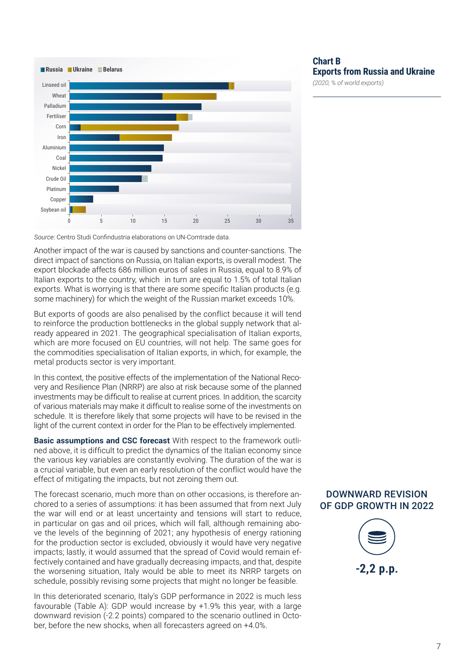

*Source:* Centro Studi Confindustria elaborations on UN-Comtrade data.

Another impact of the war is caused by sanctions and counter-sanctions. The direct impact of sanctions on Russia, on Italian exports, is overall modest. The export blockade affects 686 million euros of sales in Russia, equal to 8.9% of Italian exports to the country, which in turn are equal to 1.5% of total Italian exports. What is worrying is that there are some specific Italian products (e.g. some machinery) for which the weight of the Russian market exceeds 10%.

But exports of goods are also penalised by the conflict because it will tend to reinforce the production bottlenecks in the global supply network that already appeared in 2021. The geographical specialisation of Italian exports, which are more focused on EU countries, will not help. The same goes for the commodities specialisation of Italian exports, in which, for example, the metal products sector is very important.

In this context, the positive effects of the implementation of the National Recovery and Resilience Plan (NRRP) are also at risk because some of the planned investments may be difficult to realise at current prices. In addition, the scarcity of various materials may make it difficult to realise some of the investments on schedule. It is therefore likely that some projects will have to be revised in the light of the current context in order for the Plan to be effectively implemented.

**Basic assumptions and CSC forecast** With respect to the framework outlined above, it is difficult to predict the dynamics of the Italian economy since the various key variables are constantly evolving. The duration of the war is a crucial variable, but even an early resolution of the conflict would have the effect of mitigating the impacts, but not zeroing them out.

The forecast scenario, much more than on other occasions, is therefore anchored to a series of assumptions: it has been assumed that from next July the war will end or at least uncertainty and tensions will start to reduce, in particular on gas and oil prices, which will fall, although remaining above the levels of the beginning of 2021; any hypothesis of energy rationing for the production sector is excluded, obviously it would have very negative impacts; lastly, it would assumed that the spread of Covid would remain effectively contained and have gradually decreasing impacts, and that, despite the worsening situation, Italy would be able to meet its NRRP targets on schedule, possibly revising some projects that might no longer be feasible.

In this deteriorated scenario, Italy's GDP performance in 2022 is much less favourable (Table A): GDP would increase by +1.9% this year, with a large downward revision (-2.2 points) compared to the scenario outlined in October, before the new shocks, when all forecasters agreed on +4.0%.

#### **Chart B Exports from Russia and Ukraine**

*(2020, % of world exports)*

#### DOWNWARD REVISION OF GDP GROWTH IN 2022

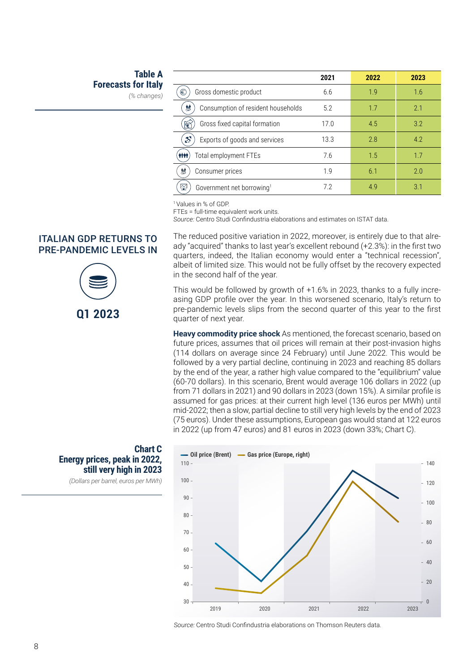#### **Table A Forecasts for Italy**

*(% changes)*

**Chart C**

**Energy prices, peak in 2022,** 

**still very high in 2023**  *(Dollars per barrel, euros per MWh)*

|                                                | 2021 | 2022 | 2023 |
|------------------------------------------------|------|------|------|
| €<br>Gross domestic product                    | 6.6  | 1.9  | 1.6  |
| 鮄<br>Consumption of resident households        | 5.2  | 1.7  | 2.1  |
| Gross fixed capital formation<br>້€1           | 17.0 | 4.5  | 3.2  |
| $\mathcal{S}$<br>Exports of goods and services | 13.3 | 2.8  | 4.2  |
| <b>ATTE</b><br>Total employment FTEs           | 7.6  | 1.5  | 17   |
| 触<br>Consumer prices                           | 19   | 6.1  | 2.0  |
| 잎<br>Government net borrowing <sup>1</sup>     | 72   | 49   | 3.1  |

1 Values in % of GDP.

FTEs = full-time equivalent work units.

*Source:* Centro Studi Confindustria elaborations and estimates on ISTAT data.

The reduced positive variation in 2022, moreover, is entirely due to that already "acquired" thanks to last year's excellent rebound (+2.3%): in the first two quarters, indeed, the Italian economy would enter a "technical recession", albeit of limited size. This would not be fully offset by the recovery expected in the second half of the year.

This would be followed by growth of +1.6% in 2023, thanks to a fully increasing GDP profile over the year. In this worsened scenario, Italy's return to pre-pandemic levels slips from the second quarter of this year to the first quarter of next year.

**Heavy commodity price shock** As mentioned, the forecast scenario, based on future prices, assumes that oil prices will remain at their post-invasion highs (114 dollars on average since 24 February) until June 2022. This would be followed by a very partial decline, continuing in 2023 and reaching 85 dollars by the end of the year, a rather high value compared to the "equilibrium" value (60-70 dollars). In this scenario, Brent would average 106 dollars in 2022 (up from 71 dollars in 2021) and 90 dollars in 2023 (down 15%). A similar profile is assumed for gas prices: at their current high level (136 euros per MWh) until mid-2022; then a slow, partial decline to still very high levels by the end of 2023 (75 euros). Under these assumptions, European gas would stand at 122 euros in 2022 (up from 47 euros) and 81 euros in 2023 (down 33%; Chart C).



*Source:* Centro Studi Confindustria elaborations on Thomson Reuters data.

#### ITALIAN GDP RETURNS TO PRE-PANDEMIC LEVELS IN

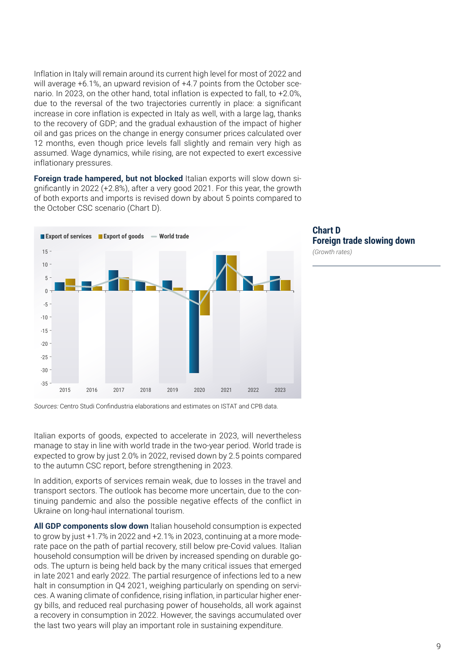Inflation in Italy will remain around its current high level for most of 2022 and will average +6.1%, an upward revision of +4.7 points from the October scenario. In 2023, on the other hand, total inflation is expected to fall, to +2.0%, due to the reversal of the two trajectories currently in place: a significant increase in core inflation is expected in Italy as well, with a large lag, thanks to the recovery of GDP; and the gradual exhaustion of the impact of higher oil and gas prices on the change in energy consumer prices calculated over 12 months, even though price levels fall slightly and remain very high as assumed. Wage dynamics, while rising, are not expected to exert excessive inflationary pressures.

**Foreign trade hampered, but not blocked** Italian exports will slow down significantly in 2022 (+2.8%), after a very good 2021. For this year, the growth of both exports and imports is revised down by about 5 points compared to the October CSC scenario (Chart D).





*Sources:* Centro Studi Confindustria elaborations and estimates on ISTAT and CPB data.

Italian exports of goods, expected to accelerate in 2023, will nevertheless manage to stay in line with world trade in the two-year period. World trade is expected to grow by just 2.0% in 2022, revised down by 2.5 points compared to the autumn CSC report, before strengthening in 2023.

In addition, exports of services remain weak, due to losses in the travel and transport sectors. The outlook has become more uncertain, due to the continuing pandemic and also the possible negative effects of the conflict in Ukraine on long-haul international tourism.

**All GDP components slow down** Italian household consumption is expected to grow by just +1.7% in 2022 and +2.1% in 2023, continuing at a more moderate pace on the path of partial recovery, still below pre-Covid values. Italian household consumption will be driven by increased spending on durable goods. The upturn is being held back by the many critical issues that emerged in late 2021 and early 2022. The partial resurgence of infections led to a new halt in consumption in Q4 2021, weighing particularly on spending on services. A waning climate of confidence, rising inflation, in particular higher energy bills, and reduced real purchasing power of households, all work against a recovery in consumption in 2022. However, the savings accumulated over the last two years will play an important role in sustaining expenditure.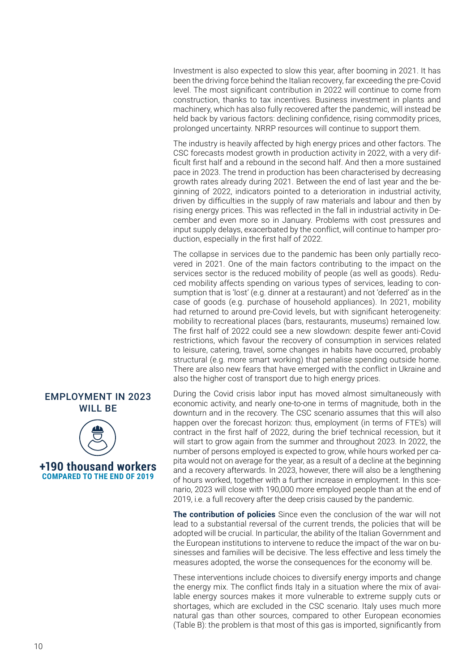Investment is also expected to slow this year, after booming in 2021. It has been the driving force behind the Italian recovery, far exceeding the pre-Covid level. The most significant contribution in 2022 will continue to come from construction, thanks to tax incentives. Business investment in plants and machinery, which has also fully recovered after the pandemic, will instead be held back by various factors: declining confidence, rising commodity prices, prolonged uncertainty. NRRP resources will continue to support them.

The industry is heavily affected by high energy prices and other factors. The CSC forecasts modest growth in production activity in 2022, with a very difficult first half and a rebound in the second half. And then a more sustained pace in 2023. The trend in production has been characterised by decreasing growth rates already during 2021. Between the end of last year and the beginning of 2022, indicators pointed to a deterioration in industrial activity, driven by difficulties in the supply of raw materials and labour and then by rising energy prices. This was reflected in the fall in industrial activity in December and even more so in January. Problems with cost pressures and input supply delays, exacerbated by the conflict, will continue to hamper production, especially in the first half of 2022.

The collapse in services due to the pandemic has been only partially recovered in 2021. One of the main factors contributing to the impact on the services sector is the reduced mobility of people (as well as goods). Reduced mobility affects spending on various types of services, leading to consumption that is 'lost' (e.g. dinner at a restaurant) and not 'deferred' as in the case of goods (e.g. purchase of household appliances). In 2021, mobility had returned to around pre-Covid levels, but with significant heterogeneity: mobility to recreational places (bars, restaurants, museums) remained low. The first half of 2022 could see a new slowdown: despite fewer anti-Covid restrictions, which favour the recovery of consumption in services related to leisure, catering, travel, some changes in habits have occurred, probably structural (e.g. more smart working) that penalise spending outside home. There are also new fears that have emerged with the conflict in Ukraine and also the higher cost of transport due to high energy prices.

During the Covid crisis labor input has moved almost simultaneously with economic activity, and nearly one-to-one in terms of magnitude, both in the downturn and in the recovery. The CSC scenario assumes that this will also happen over the forecast horizon: thus, employment (in terms of FTE's) will contract in the first half of 2022, during the brief technical recession, but it will start to grow again from the summer and throughout 2023. In 2022, the number of persons employed is expected to grow, while hours worked per capita would not on average for the year, as a result of a decline at the beginning and a recovery afterwards. In 2023, however, there will also be a lengthening of hours worked, together with a further increase in employment. In this scenario, 2023 will close with 190,000 more employed people than at the end of 2019, i.e. a full recovery after the deep crisis caused by the pandemic.

**The contribution of policies** Since even the conclusion of the war will not lead to a substantial reversal of the current trends, the policies that will be adopted will be crucial. In particular, the ability of the Italian Government and the European institutions to intervene to reduce the impact of the war on businesses and families will be decisive. The less effective and less timely the measures adopted, the worse the consequences for the economy will be.

These interventions include choices to diversify energy imports and change the energy mix. The conflict finds Italy in a situation where the mix of available energy sources makes it more vulnerable to extreme supply cuts or shortages, which are excluded in the CSC scenario. Italy uses much more natural gas than other sources, compared to other European economies (Table B): the problem is that most of this gas is imported, significantly from

#### EMPLOYMENT IN 2023 WILL BE



**+190 thousand workers COMPARED TO THE END OF 2019**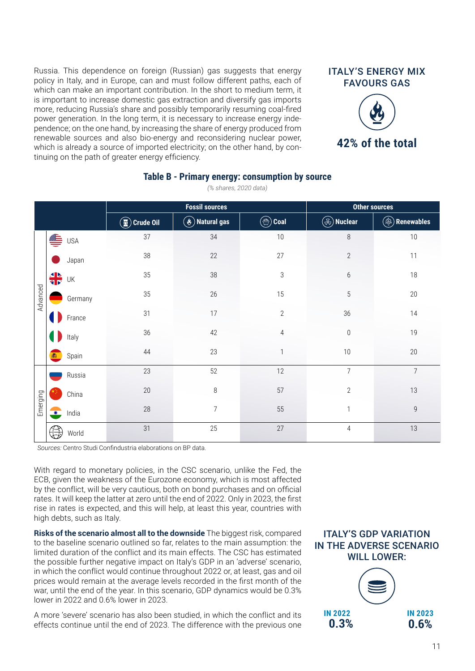Russia. This dependence on foreign (Russian) gas suggests that energy policy in Italy, and in Europe, can and must follow different paths, each of which can make an important contribution. In the short to medium term, it is important to increase domestic gas extraction and diversify gas imports more, reducing Russia's share and possibly temporarily resuming coal-fired power generation. In the long term, it is necessary to increase energy independence; on the one hand, by increasing the share of energy produced from renewable sources and also bio-energy and reconsidering nuclear power, which is already a source of imported electricity; on the other hand, by continuing on the path of greater energy efficiency.



|          |           |            | <b>Fossil sources</b>                          |                                                                  |                    | <b>Other sources</b> |                   |
|----------|-----------|------------|------------------------------------------------|------------------------------------------------------------------|--------------------|----------------------|-------------------|
|          |           |            | $\left(\overline{\mathbf{w}}\right)$ Crude Oil | $\left(\stackrel{\bullet}{\bm{\mathscr{L}}} \right)$ Natural gas | $\circledast$ Coal | $\circledR$ Nuclear  | (♠)<br>Renewables |
| Advanced | €         | <b>USA</b> | 37                                             | 34                                                               | 10                 | $\,8\,$              | 10                |
|          |           | Japan      | 38                                             | 22                                                               | 27                 | $\sqrt{2}$           | 11                |
|          | ╬         | UK         | 35                                             | 38                                                               | 3                  | $6\,$                | 18                |
|          |           | Germany    | 35                                             | 26                                                               | 15                 | $\sqrt{5}$           | 20                |
|          |           | France     | 31                                             | 17                                                               | $\overline{2}$     | 36                   | 14                |
|          |           | Italy      | 36                                             | 42                                                               | $\sqrt{4}$         | $\boldsymbol{0}$     | 19                |
|          |           | Spain      | 44                                             | 23                                                               | $\mathbf{1}$       | 10                   | 20                |
| Emerging |           | Russia     | 23                                             | 52                                                               | 12                 | $\overline{7}$       | $\overline{7}$    |
|          |           | China      | $20\,$                                         | $\,8\,$                                                          | 57                 | $\sqrt{2}$           | 13                |
|          | $\bullet$ | India      | 28                                             | $\overline{7}$                                                   | 55                 | $\mathbf{1}$         | $\mathsf 9$       |
|          |           | World      | 31                                             | 25                                                               | 27                 | $\overline{4}$       | 13                |

**Table B - Primary energy: consumption by source** *(% shares, 2020 data)*

*Sources:* Centro Studi Confindustria elaborations on BP data.

With regard to monetary policies, in the CSC scenario, unlike the Fed, the ECB, given the weakness of the Eurozone economy, which is most affected by the conflict, will be very cautious, both on bond purchases and on official rates. It will keep the latter at zero until the end of 2022. Only in 2023, the first rise in rates is expected, and this will help, at least this year, countries with high debts, such as Italy.

**Risks of the scenario almost all to the downside** The biggest risk, compared to the baseline scenario outlined so far, relates to the main assumption: the limited duration of the conflict and its main effects. The CSC has estimated the possible further negative impact on Italy's GDP in an 'adverse' scenario, in which the conflict would continue throughout 2022 or, at least, gas and oil prices would remain at the average levels recorded in the first month of the war, until the end of the year. In this scenario, GDP dynamics would be 0.3% lower in 2022 and 0.6% lower in 2023.

A more 'severe' scenario has also been studied, in which the conflict and its effects continue until the end of 2023. The difference with the previous one

#### ITALY'S GDP VARIATION IN THE ADVERSE SCENARIO WILL LOWER: